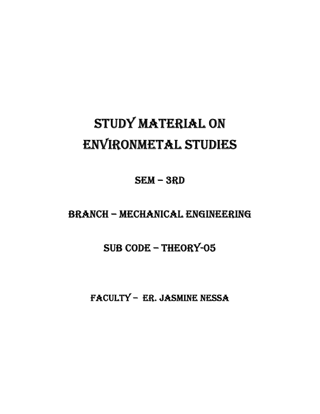# Study material on enVironmetal StudieS

Sem – 3rd

# BranCH – meCHaniCal enGineerinG

# SUB CODE - THEORY-05

FaCulty – er. JaSmine neSSa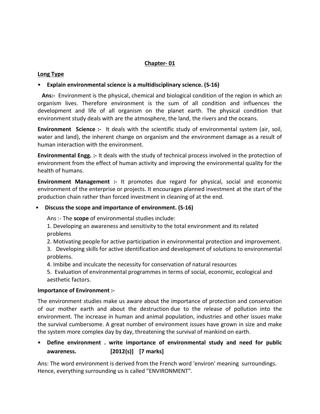# Chapter- 01

# Long Type

# • Explain environmental science is a multidisciplinary science. (S-16)

Ans:- Environment is the physical, chemical and biological condition of the region in which an organism lives. Therefore environment is the sum of all condition and influences the development and life of all organism on the planet earth. The physical condition that environment study deals with are the atmosphere, the land, the rivers and the oceans.

**Environment Science :-** It deals with the scientific study of environmental system (air, soil, water and land), the inherent change on organism and the environment damage as a result of human interaction with the environment.

Environmental Engg. :- It deals with the study of technical process involved in the protection of environment from the effect of human activity and improving the environmental quality for the health of humans.

Environment Management :- It promotes due regard for physical, social and economic environment of the enterprise or projects. It encourages planned investment at the start of the production chain rather than forced investment in cleaning of at the end.

# • Discuss the scope and importance of environment. (S-16)

Ans :- The scope of environmental studies include:

- 1. Developing an awareness and sensitivity to the total environment and its related problems
- 2. Motivating people for active participation in environmental protection and improvement.

3. Developing skills for active identification and development of solutions to environmental problems.

4. Imbibe and inculcate the necessity for conservation of natural resources

5. Evaluation of environmental programmes in terms of social, economic, ecological and aesthetic factors.

# Importance of Environment :-

The environment studies make us aware about the importance of protection and conservation of our mother earth and about the destruction due to the release of pollution into the environment. The increase in human and animal population, industries and other issues make the survival cumbersome. A great number of environment issues have grown in size and make the system more complex day by day, threatening the survival of mankind on earth.

# • Define environment . write importance of environmental study and need for public awareness. [2012(s)] [7 marks]

Ans: The word environment is derived from the French word 'environ' meaning surroundings. Hence, everything surrounding us is called "ENVIRONMENT".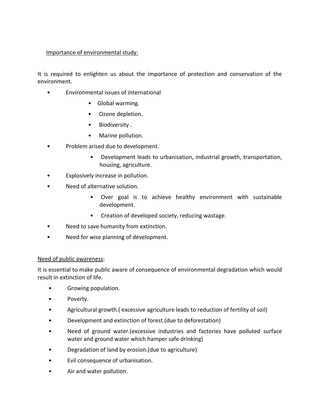# Importance of environmental study:

It is required to enlighten us about the importance of protection and conservation of the environment.

- Environmental issues of international
	- Global warming.
	- Ozone depletion.
	- Biodiversity .
	- Marine pollution.
- Problem arised due to development.
	- Development leads to urbanisation, industrial growth, transportation, housing, agriculture.
- Explosively increase in pollution.
- Need of alternative solution.
	- Over goal is to achieve healthy environment with sustainable development.
	- Creation of developed society, reducing wastage.
- Need to save humanity from extinction.
- Need for wise planning of development.

# Need of public awareness:

It is essential to make public aware of consequence of environmental degradation which would result in extinction of life.

- Growing population.
- Poverty.
- Agricultural growth.( excessive agriculture leads to reduction of fertility of soil)
- Development and extinction of forest.(due to deforestation)
- Need of ground water.(excessive industries and factories have polluted surface water and ground water which hamper safe drinking)
- Degradation of land by erosion.(due to agriculture)
- Evil consequence of urbanisation.
- Air and water pollution.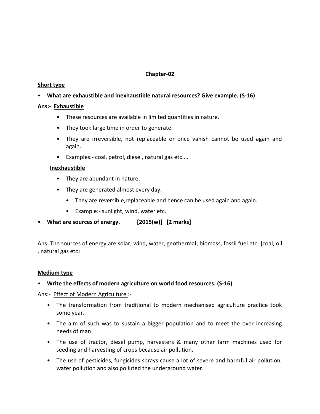# Chapter-02

# Short type

# • What are exhaustible and inexhaustible natural resources? Give example. (S-16)

# Ans:- Exhaustible

- These resources are available in limited quantities in nature.
- They took large time in order to generate.
- They are irreversible, not replaceable or once vanish cannot be used again and again.
- Examples:- coal, petrol, diesel, natural gas etc....

# Inexhaustible

- They are abundant in nature.
- They are generated almost every day.
	- They are reversible, replaceable and hence can be used again and again.
	- Example:- sunlight, wind, water etc.
- What are sources of energy. [2015(w)] [2 marks]

Ans: The sources of energy are solar, wind, water, geothermal, biomass, fossil fuel etc. (coal, oil , natural gas etc)

#### Medium type

# • Write the effects of modern agriculture on world food resources. (S-16)

Ans:- Effect of Modern Agriculture :-

- The transformation from traditional to modern mechanised agriculture practice took some year.
- The aim of such was to sustain a bigger population and to meet the over increasing needs of man.
- The use of tractor, diesel pump, harvesters & many other farm machines used for seeding and harvesting of crops because air pollution.
- The use of pesticides, fungicides sprays cause a lot of severe and harmful air pollution, water pollution and also polluted the underground water.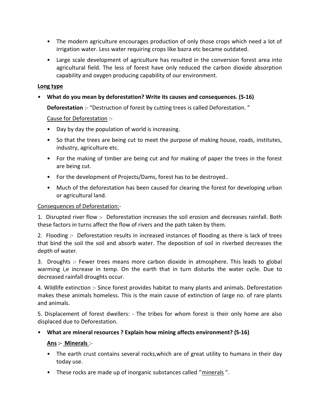- The modern agriculture encourages production of only those crops which need a lot of irrigation water. Less water requiring crops like bazra etc became outdated.
- Large scale development of agriculture has resulted in the conversion forest area into agricultural field. The less of forest have only reduced the carbon dioxide absorption capability and oxygen producing capability of our environment.

# Long type

# • What do you mean by deforestation? Write its causes and consequences. (S-16)

**Deforestation** :- "Destruction of forest by cutting trees is called Deforestation."

Cause for Deforestation :-

- Day by day the population of world is increasing.
- So that the trees are being cut to meet the purpose of making house, roads, institutes, industry, agriculture etc.
- For the making of timber are being cut and for making of paper the trees in the forest are being cut.
- For the development of Projects/Dams, forest has to be destroyed..
- Much of the deforestation has been caused for clearing the forest for developing urban or agricultural land.

# Consequences of Deforestation:-

1. Disrupted river flow :- Deforestation increases the soil erosion and decreases rainfall. Both these factors in turns affect the flow of rivers and the path taken by them.

2. Flooding :- Deforestation results in increased instances of flooding as there is lack of trees that bind the soil the soil and absorb water. The deposition of soil in riverbed decreases the depth of water.

3. Droughts :- Fewer trees means more carbon dioxide in atmosphere. This leads to global warming i,e increase in temp. On the earth that in turn disturbs the water cycle. Due to decreased rainfall droughts occur.

4. Wildlife extinction :- Since forest provides habitat to many plants and animals. Deforestation makes these animals homeless. This is the main cause of extinction of large no. of rare plants and animals.

5. Displacement of forest dwellers: - The tribes for whom forest is their only home are also displaced due to Deforestation.

• What are mineral resources ? Explain how mining affects environment? (S-16)

# Ans :- Minerals :-

- The earth crust contains several rocks, which are of great utility to humans in their day today use.
- These rocks are made up of inorganic substances called ''minerals ".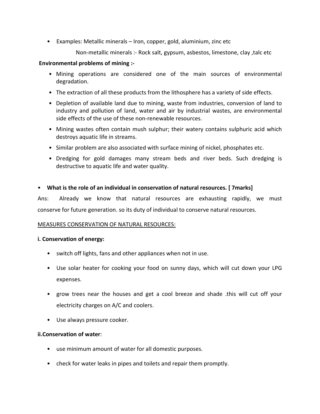• Examples: Metallic minerals – Iron, copper, gold, aluminium, zinc etc

Non-metallic minerals :- Rock salt, gypsum, asbestos, limestone, clay ,talc etc

# Environmental problems of mining :-

- Mining operations are considered one of the main sources of environmental degradation.
- The extraction of all these products from the lithosphere has a variety of side effects.
- Depletion of available land due to mining, waste from industries, conversion of land to industry and pollution of land, water and air by industrial wastes, are environmental side effects of the use of these non-renewable resources.
- Mining wastes often contain mush sulphur; their watery contains sulphuric acid which destroys aquatic life in streams.
- Similar problem are also associated with surface mining of nickel, phosphates etc.
- Dredging for gold damages many stream beds and river beds. Such dredging is destructive to aquatic life and water quality.

# • What is the role of an individual in conservation of natural resources. [ 7marks]

Ans: Already we know that natural resources are exhausting rapidly, we must conserve for future generation. so its duty of individual to conserve natural resources.

# MEASURES CONSERVATION OF NATURAL RESOURCES:

# i. Conservation of energy:

- switch off lights, fans and other appliances when not in use.
- Use solar heater for cooking your food on sunny days, which will cut down your LPG expenses.
- grow trees near the houses and get a cool breeze and shade .this will cut off your electricity charges on A/C and coolers.
- Use always pressure cooker.

# ii.Conservation of water:

- use minimum amount of water for all domestic purposes.
- check for water leaks in pipes and toilets and repair them promptly.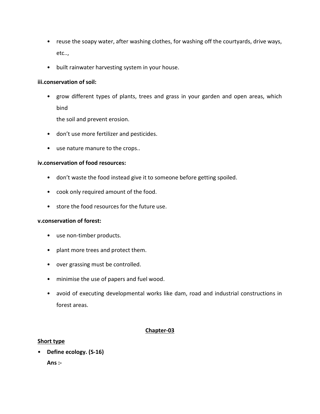- reuse the soapy water, after washing clothes, for washing off the courtyards, drive ways, etc..,
- built rainwater harvesting system in your house.

#### iii.conservation of soil:

• grow different types of plants, trees and grass in your garden and open areas, which bind

the soil and prevent erosion.

- don't use more fertilizer and pesticides.
- use nature manure to the crops..

#### iv.conservation of food resources:

- don't waste the food instead give it to someone before getting spoiled.
- cook only required amount of the food.
- store the food resources for the future use.

#### v.conservation of forest:

- use non-timber products.
- plant more trees and protect them.
- over grassing must be controlled.
- minimise the use of papers and fuel wood.
- avoid of executing developmental works like dam, road and industrial constructions in forest areas.

# Chapter-03

# Short type

• Define ecology. (S-16) Ans :-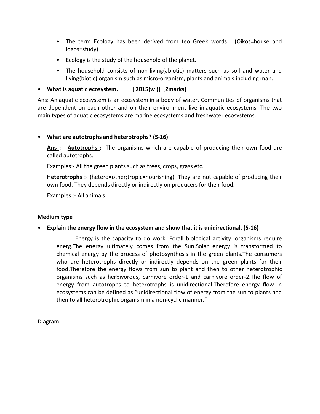- The term Ecology has been derived from teo Greek words : (Oikos=house and logos=study).
- Ecology is the study of the household of the planet.
- The household consists of non-living(abiotic) matters such as soil and water and living(biotic) organism such as micro-organism, plants and animals including man.
- What is aquatic ecosystem. [2015(w )] [2marks]

Ans: An aquatic ecosystem is an ecosystem in a body of water. Communities of organisms that are dependent on each other and on their environment live in aquatic ecosystems. The two main types of aquatic ecosystems are marine ecosystems and freshwater ecosystems.

# • What are autotrophs and heterotrophs? (S-16)

Ans :- Autotrophs :- The organisms which are capable of producing their own food are called autotrophs.

Examples:- All the green plants such as trees, crops, grass etc.

Heterotrophs :- (hetero=other;tropic=nourishing). They are not capable of producing their own food. They depends directly or indirectly on producers for their food.

Examples :- All animals

# Medium type

• Explain the energy flow in the ecosystem and show that it is unidirectional. (S-16)

Energy is the capacity to do work. Forall biological activity ,organisms require energ.The energy ultimately comes from the Sun.Solar energy is transformed to chemical energy by the process of photosynthesis in the green plants.The consumers who are heterotrophs directly or indirectly depends on the green plants for their food.Therefore the energy flows from sun to plant and then to other heterotrophic organisms such as herbivorous, carnivore order-1 and carnivore order-2.The flow of energy from autotrophs to heterotrophs is unidirectional.Therefore energy flow in ecosystems can be defined as "unidirectional flow of energy from the sun to plants and then to all heterotrophic organism in a non-cyclic manner."

Diagram:-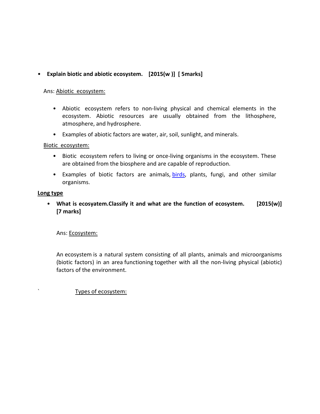# • Explain biotic and abiotic ecosystem. [2015(w )] [ 5marks]

#### Ans: Abiotic ecosystem:

- Abiotic ecosystem refers to non-living physical and chemical elements in the ecosystem. Abiotic resources are usually obtained from the lithosphere, atmosphere, and hydrosphere.
- Examples of abiotic factors are water, air, soil, sunlight, and minerals.

# Biotic ecosystem:

- Biotic ecosystem refers to living or once-living organisms in the ecosystem. These are obtained from the biosphere and are capable of reproduction.
- Examples of biotic factors are animals, birds, plants, fungi, and other similar organisms.

#### Long type

• What is ecosyatem. Classify it and what are the function of ecosystem. [2015(w)] [7 marks]

# Ans: Ecosystem:

An ecosystem is a natural system consisting of all plants, animals and microorganisms (biotic factors) in an area functioning together with all the non-living physical (abiotic) factors of the environment.

# ` Types of ecosystem: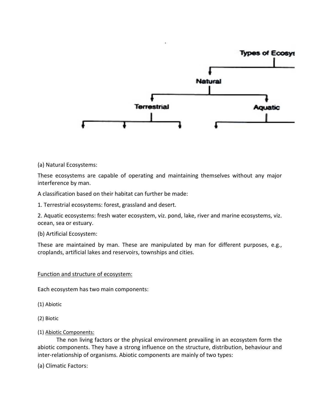

(a) Natural Ecosystems:

These ecosystems are capable of operating and maintaining themselves without any major interference by man.

A classification based on their habitat can further be made:

1. Terrestrial ecosystems: forest, grassland and desert.

2. Aquatic ecosystems: fresh water ecosystem, viz. pond, lake, river and marine ecosystems, viz. ocean, sea or estuary.

(b) Artificial Ecosystem:

These are maintained by man. These are manipulated by man for different purposes, e.g., croplands, artificial lakes and reservoirs, townships and cities.

#### Function and structure of ecosystem:

Each ecosystem has two main components:

(1) Abiotic

- (2) Biotic
- (1) Abiotic Components:

The non living factors or the physical environment prevailing in an ecosystem form the abiotic components. They have a strong influence on the structure, distribution, behaviour and inter-relationship of organisms. Abiotic components are mainly of two types:

(a) Climatic Factors: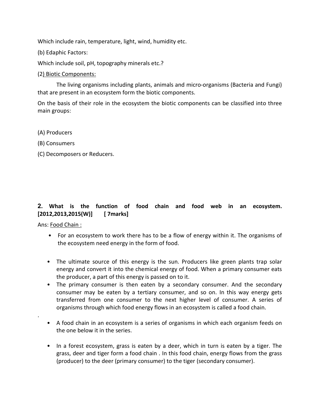Which include rain, temperature, light, wind, humidity etc.

(b) Edaphic Factors:

Which include soil, pH, topography minerals etc.?

# (2) Biotic Components:

The living organisms including plants, animals and micro-organisms (Bacteria and Fungi) that are present in an ecosystem form the biotic components.

On the basis of their role in the ecosystem the biotic components can be classified into three main groups:

- (A) Producers
- (B) Consumers
- (C) Decomposers or Reducers.

# 2. What is the function of food chain and food web in an ecosystem. [2012,2013,2015(W)] [ 7marks]

Ans: Food Chain :

.

- For an ecosystem to work there has to be a flow of energy within it. The organisms of the ecosystem need energy in the form of food.
- The ultimate source of this energy is the sun. Producers like green plants trap solar energy and convert it into the chemical energy of food. When a primary consumer eats the producer, a part of this energy is passed on to it.
- The primary consumer is then eaten by a secondary consumer. And the secondary consumer may be eaten by a tertiary consumer, and so on. In this way energy gets transferred from one consumer to the next higher level of consumer. A series of organisms through which food energy flows in an ecosystem is called a food chain.
- A food chain in an ecosystem is a series of organisms in which each organism feeds on the one below it in the series.
- In a forest ecosystem, grass is eaten by a deer, which in turn is eaten by a tiger. The grass, deer and tiger form a food chain . In this food chain, energy flows from the grass (producer) to the deer (primary consumer) to the tiger (secondary consumer).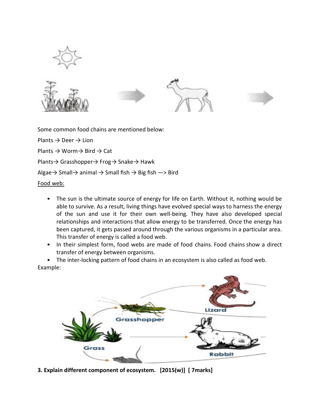







Some common food chains are mentioned below:

Plants  $\rightarrow$  Deer  $\rightarrow$  Lion Plants → Worm→ Bird → Cat Plants→ Grasshopper→ Frog→ Snake→ Hawk Algae  $\rightarrow$  Small $\rightarrow$  animal  $\rightarrow$  Small fish  $\rightarrow$  Big fish  $\rightarrow$  Bird Food web:

- The sun is the ultimate source of energy for life on Earth. Without it, nothing would be able to survive. As a result, living things have evolved special ways to harness the energy of the sun and use it for their own well-being. They have also developed special relationships and interactions that allow energy to be transferred. Once the energy has been captured, it gets passed around through the various organisms in a particular area. This transfer of energy is called a food web.
- In their simplest form, food webs are made of food chains. Food chains show a direct transfer of energy between organisms.

• The inter-locking pattern of food chains in an ecosystem is also called as food web. Example:



3. Explain different component of ecosystem. [2015(w)] [ 7marks]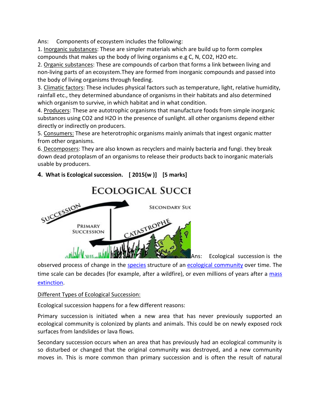Ans: Components of ecosystem includes the following:

1. Inorganic substances: These are simpler materials which are build up to form complex compounds that makes up the body of living organisms e.g C, N, CO2, H2O etc.

2. Organic substances: These are compounds of carbon that forms a link between living and non-living parts of an ecosystem.They are formed from inorganic compounds and passed into the body of living organisms through feeding.

3. Climatic factors: These includes physical factors such as temperature, light, relative humidity, rainfall etc., they determined abundance of organisms in their habitats and also determined which organism to survive, in which habitat and in what condition.

4. Producers: These are autotrophic organisms that manufacture foods from simple inorganic substances using CO2 and H2O in the presence of sunlight. all other organisms depend either directly or indirectly on producers.

5. Consumers: These are heterotrophic organisms mainly animals that ingest organic matter from other organisms.

6. Decomposers: They are also known as recyclers and mainly bacteria and fungi. they break down dead protoplasm of an organisms to release their products back to inorganic materials usable by producers.

# 4. What is Ecological succession. [ 2015(w )] [5 marks]



Ans: Ecological succession is the

observed process of change in the species structure of an ecological community over time. The time scale can be decades (for example, after a wildfire), or even millions of years after a mass extinction.

# Different Types of Ecological Succession:

Ecological succession happens for a few different reasons:

Primary succession is initiated when a new area that has never previously supported an ecological community is colonized by plants and animals. This could be on newly exposed rock surfaces from landslides or lava flows.

Secondary succession occurs when an area that has previously had an ecological community is so disturbed or changed that the original community was destroyed, and a new community moves in. This is more common than primary succession and is often the result of natural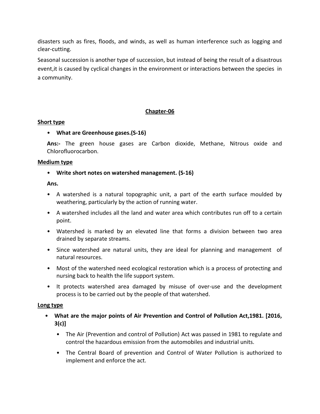disasters such as fires, floods, and winds, as well as human interference such as logging and clear-cutting.

Seasonal succession is another type of succession, but instead of being the result of a disastrous event,it is caused by cyclical changes in the environment or interactions between the species in a community.

# Chapter-06

# Short type

• What are Greenhouse gases.(S-16)

Ans:- The green house gases are Carbon dioxide, Methane, Nitrous oxide and Chlorofluorocarbon.

#### Medium type

# • Write short notes on watershed management. (S-16)

Ans.

- A watershed is a natural topographic unit, a part of the earth surface moulded by weathering, particularly by the action of running water.
- A watershed includes all the land and water area which contributes run off to a certain point.
- Watershed is marked by an elevated line that forms a division between two area drained by separate streams.
- Since watershed are natural units, they are ideal for planning and management of natural resources.
- Most of the watershed need ecological restoration which is a process of protecting and nursing back to health the life support system.
- It protects watershed area damaged by misuse of over-use and the development process is to be carried out by the people of that watershed.

# Long type

- What are the major points of Air Prevention and Control of Pollution Act,1981. [2016, 3(c)]
	- The Air (Prevention and control of Pollution) Act was passed in 1981 to regulate and control the hazardous emission from the automobiles and industrial units.
	- The Central Board of prevention and Control of Water Pollution is authorized to implement and enforce the act.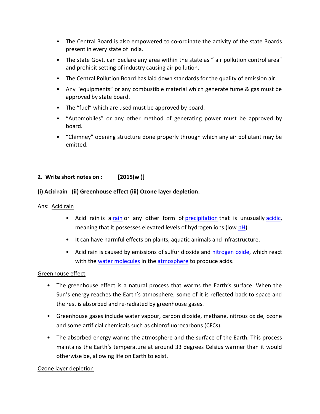- The Central Board is also empowered to co-ordinate the activity of the state Boards present in every state of India.
- The state Govt. can declare any area within the state as " air pollution control area" and prohibit setting of industry causing air pollution.
- The Central Pollution Board has laid down standards for the quality of emission air.
- Any "equipments" or any combustible material which generate fume & gas must be approved by state board.
- The "fuel" which are used must be approved by board.
- "Automobiles" or any other method of generating power must be approved by board.
- "Chimney" opening structure done properly through which any air pollutant may be emitted.

# 2. Write short notes on :  $[2015(w)]$

# (i) Acid rain (ii) Greenhouse effect (iii) Ozone layer depletion.

# Ans: Acid rain

- Acid rain is a rain or any other form of precipitation that is unusually acidic, meaning that it possesses elevated levels of hydrogen ions (low pH).
- It can have harmful effects on plants, aquatic animals and infrastructure.
- Acid rain is caused by emissions of sulfur dioxide and nitrogen oxide, which react with the water molecules in the atmosphere to produce acids.

# Greenhouse effect

- The greenhouse effect is a natural process that warms the Earth's surface. When the Sun's energy reaches the Earth's atmosphere, some of it is reflected back to space and the rest is absorbed and re-radiated by greenhouse gases.
- Greenhouse gases include water vapour, carbon dioxide, methane, nitrous oxide, ozone and some artificial chemicals such as chlorofluorocarbons (CFCs).
- The absorbed energy warms the atmosphere and the surface of the Earth. This process maintains the Earth's temperature at around 33 degrees Celsius warmer than it would otherwise be, allowing life on Earth to exist.

# Ozone layer depletion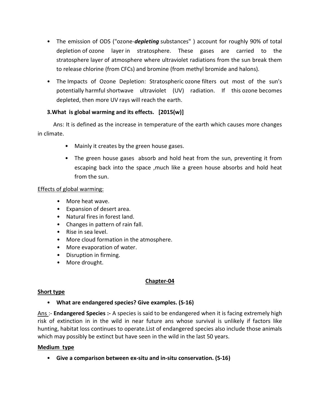- The emission of ODS ("ozone-depleting substances") account for roughly 90% of total depletion of ozone layer in stratosphere. These gases are carried to the stratosphere layer of atmosphere where ultraviolet radiations from the sun break them to release chlorine (from CFCs) and bromine (from methyl bromide and halons).
- The Impacts of Ozone Depletion: Stratospheric ozone filters out most of the sun's potentially harmful shortwave ultraviolet (UV) radiation. If this ozone becomes depleted, then more UV rays will reach the earth.

# 3.What is global warming and its effects. [2015(w)]

 Ans: It is defined as the increase in temperature of the earth which causes more changes in climate.

- Mainly it creates by the green house gases.
- The green house gases absorb and hold heat from the sun, preventing it from escaping back into the space ,much like a green house absorbs and hold heat from the sun.

# Effects of global warming:

- More heat wave.
- Expansion of desert area.
- Natural fires in forest land.
- Changes in pattern of rain fall.
- Rise in sea level.
- More cloud formation in the atmosphere.
- More evaporation of water.
- Disruption in firming.
- More drought.

# Chapter-04

# Short type

# • What are endangered species? Give examples. (S-16)

Ans :- **Endangered Species :-** A species is said to be endangered when it is facing extremely high risk of extinction in in the wild in near future ans whose survival is unlikely if factors like hunting, habitat loss continues to operate.List of endangered species also include those animals which may possibly be extinct but have seen in the wild in the last 50 years.

# Medium type

• Give a comparison between ex-situ and in-situ conservation. (S-16)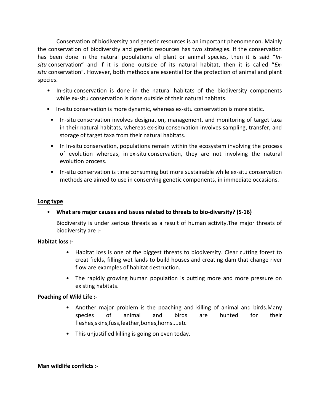Conservation of biodiversity and genetic resources is an important phenomenon. Mainly the conservation of biodiversity and genetic resources has two strategies. If the conservation has been done in the natural populations of plant or animal species, then it is said "Insitu conservation" and if it is done outside of its natural habitat, then it is called " $Ex$ situ conservation". However, both methods are essential for the protection of animal and plant species.

- In-situ conservation is done in the natural habitats of the biodiversity components while ex-situ conservation is done outside of their natural habitats.
- In-situ conservation is more dynamic, whereas ex-situ conservation is more static.
- In-situ conservation involves designation, management, and monitoring of target taxa in their natural habitats, whereas ex-situ conservation involves sampling, transfer, and storage of target taxa from their natural habitats.
- In In-situ conservation, populations remain within the ecosystem involving the process of evolution whereas, in ex-situ conservation, they are not involving the natural evolution process.
- In-situ conservation is time consuming but more sustainable while ex-situ conservation methods are aimed to use in conserving genetic components, in immediate occasions.

# Long type

• What are major causes and issues related to threats to bio-diversity? (S-16)

Biodiversity is under serious threats as a result of human activity.The major threats of biodiversity are :-

# Habitat loss :-

- Habitat loss is one of the biggest threats to biodiversity. Clear cutting forest to creat fields, filling wet lands to build houses and creating dam that change river flow are examples of habitat destruction.
- The rapidly growing human population is putting more and more pressure on existing habitats.

# Poaching of Wild Life :-

- Another major problem is the poaching and killing of animal and birds.Many species of animal and birds are hunted for their fleshes,skins,fuss,feather,bones,horns....etc
- This unjustified killing is going on even today.

# Man wildlife conflicts :-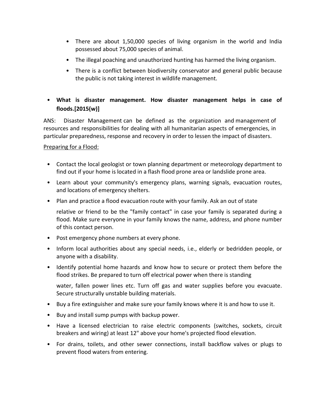- There are about 1,50,000 species of living organism in the world and India possessed about 75,000 species of animal.
- The illegal poaching and unauthorized hunting has harmed the living organism.
- There is a conflict between biodiversity conservator and general public because the public is not taking interest in wildlife management.

# • What is disaster management. How disaster management helps in case of floods.[2015(w)]

ANS: Disaster Management can be defined as the organization and management of resources and responsibilities for dealing with all humanitarian aspects of emergencies, in particular preparedness, response and recovery in order to lessen the impact of disasters.

# Preparing for a Flood:

- Contact the local geologist or town planning department or meteorology department to find out if your home is located in a flash flood prone area or landslide prone area.
- Learn about your community's emergency plans, warning signals, evacuation routes, and locations of emergency shelters.
- Plan and practice a flood evacuation route with your family. Ask an out of state

relative or friend to be the "family contact" in case your family is separated during a flood. Make sure everyone in your family knows the name, address, and phone number of this contact person.

- Post emergency phone numbers at every phone.
- Inform local authorities about any special needs, i.e., elderly or bedridden people, or anyone with a disability.
- Identify potential home hazards and know how to secure or protect them before the flood strikes. Be prepared to turn off electrical power when there is standing

water, fallen power lines etc. Turn off gas and water supplies before you evacuate. Secure structurally unstable building materials.

- Buy a fire extinguisher and make sure your family knows where it is and how to use it.
- Buy and install sump pumps with backup power.
- Have a licensed electrician to raise electric components (switches, sockets, circuit breakers and wiring) at least 12" above your home's projected flood elevation.
- For drains, toilets, and other sewer connections, install backflow valves or plugs to prevent flood waters from entering.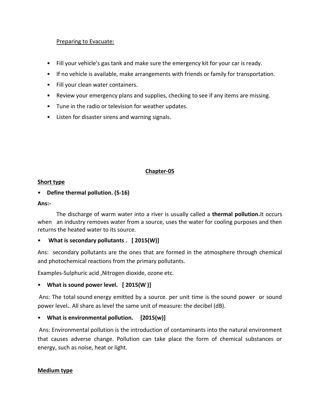# Preparing to Evacuate:

- Fill your vehicle's gas tank and make sure the emergency kit for your car is ready.
- If no vehicle is available, make arrangements with friends or family for transportation.
- Fill your clean water containers.
- Review your emergency plans and supplies, checking to see if any items are missing.
- Tune in the radio or television for weather updates.
- Listen for disaster sirens and warning signals.

# Chapter-05

# Short type

# • Define thermal pollution. (S-16)

# Ans:-

The discharge of warm water into a river is usually called a **thermal pollution.**It occurs when an industry removes water from a source, uses the water for cooling purposes and then returns the heated water to its source.

# • What is secondary pollutants . [2015(W)]

Ans: secondary pollutants are the ones that are formed in the atmosphere through chemical and photochemical reactions from the primary pollutants.

Examples-Sulphuric acid ,Nitrogen dioxide, ozone etc.

# • What is sound power level. [2015(W)]

 Ans: The total sound energy emitted by a source. per unit time is the sound power or sound power level.. All share as level the same unit of measure: the decibel (dB).

# • What is environmental pollution. [2015(w)]

 Ans: Environmental pollution is the introduction of contaminants into the natural environment that causes adverse change. Pollution can take place the form of chemical substances or energy, such as noise, heat or light.

# Medium type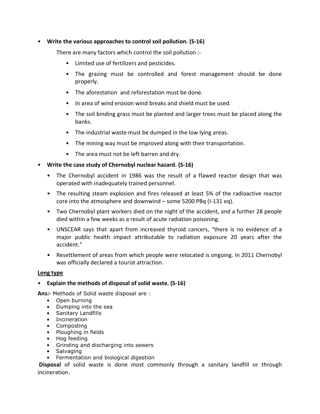# • Write the various approaches to control soil pollution. (S-16)

There are many factors which control the soil pollution :-

- Limited use of fertilizers and pesticides.
- The grazing must be controlled and forest management should be done properly.
- The aforestation and reforestation must be done.
- In area of wind erosion wind breaks and shield must be used.
- The soil binding grass must be planted and larger trees must be placed along the banks.
- The industrial waste must be dumped in the low lying areas.
- The mining way must be improved along with their transportation.
- The area must not be left barren and dry.

# • Write the case study of Chernobyl nuclear hazard. (S-16)

- The Chernobyl accident in 1986 was the result of a flawed reactor design that was operated with inadequately trained personnel.
- The resulting steam explosion and fires released at least 5% of the radioactive reactor core into the atmosphere and downwind – some 5200 PBq (I-131 eq).
- Two Chernobyl plant workers died on the night of the accident, and a further 28 people died within a few weeks as a result of acute radiation poisoning.
- UNSCEAR says that apart from increased thyroid cancers, "there is no evidence of a major public health impact attributable to radiation exposure 20 years after the accident."
- Resettlement of areas from which people were relocated is ongoing. In 2011 Chernobyl was officially declared a tourist attraction.

# Long type

# • Explain the methods of disposal of solid waste. (S-16)

Ans:- Methods of Solid waste disposal are :

- Open burning
- Dumping into the sea
- Sanitary Landfills
- Incineration
- Composting
- Ploughing in fields
- Hog feeding
- Grinding and discharging into sewers
- Salvaging
- Fermentation and biological digestion

 Disposal of solid waste is done most commonly through a sanitary landfill or through incineration.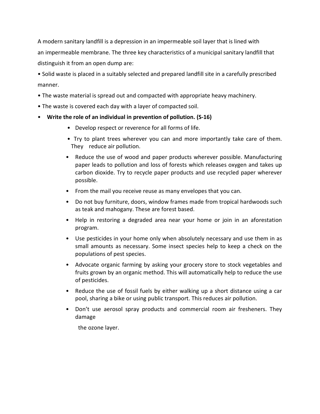A modern sanitary landfill is a depression in an impermeable soil layer that is lined with an impermeable membrane. The three key characteristics of a municipal sanitary landfill that distinguish it from an open dump are:

• Solid waste is placed in a suitably selected and prepared landfill site in a carefully prescribed manner.

- The waste material is spread out and compacted with appropriate heavy machinery.
- The waste is covered each day with a layer of compacted soil.
- Write the role of an individual in prevention of pollution. (S-16)
	- Develop respect or reverence for all forms of life.
	- Try to plant trees wherever you can and more importantly take care of them. They reduce air pollution.
	- Reduce the use of wood and paper products wherever possible. Manufacturing paper leads to pollution and loss of forests which releases oxygen and takes up carbon dioxide. Try to recycle paper products and use recycled paper wherever possible.
	- From the mail you receive reuse as many envelopes that you can.
	- Do not buy furniture, doors, window frames made from tropical hardwoods such as teak and mahogany. These are forest based.
	- Help in restoring a degraded area near your home or join in an aforestation program.
	- Use pesticides in your home only when absolutely necessary and use them in as small amounts as necessary. Some insect species help to keep a check on the populations of pest species.
	- Advocate organic farming by asking your grocery store to stock vegetables and fruits grown by an organic method. This will automatically help to reduce the use of pesticides.
	- Reduce the use of fossil fuels by either walking up a short distance using a car pool, sharing a bike or using public transport. This reduces air pollution.
	- Don't use aerosol spray products and commercial room air fresheners. They damage

the ozone layer.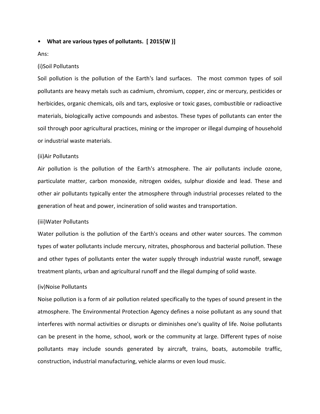#### • What are various types of pollutants. [ 2015(W )]

#### Ans:

#### (i)Soil Pollutants

Soil pollution is the pollution of the Earth's land surfaces. The most common types of soil pollutants are heavy metals such as cadmium, chromium, copper, zinc or mercury, pesticides or herbicides, organic chemicals, oils and tars, explosive or toxic gases, combustible or radioactive materials, biologically active compounds and asbestos. These types of pollutants can enter the soil through poor agricultural practices, mining or the improper or illegal dumping of household or industrial waste materials.

#### (ii)Air Pollutants

Air pollution is the pollution of the Earth's atmosphere. The air pollutants include ozone, particulate matter, carbon monoxide, nitrogen oxides, sulphur dioxide and lead. These and other air pollutants typically enter the atmosphere through industrial processes related to the generation of heat and power, incineration of solid wastes and transportation.

#### (iii)Water Pollutants

Water pollution is the pollution of the Earth's oceans and other water sources. The common types of water pollutants include mercury, nitrates, phosphorous and bacterial pollution. These and other types of pollutants enter the water supply through industrial waste runoff, sewage treatment plants, urban and agricultural runoff and the illegal dumping of solid waste.

#### (iv)Noise Pollutants

Noise pollution is a form of air pollution related specifically to the types of sound present in the atmosphere. The Environmental Protection Agency defines a noise pollutant as any sound that interferes with normal activities or disrupts or diminishes one's quality of life. Noise pollutants can be present in the home, school, work or the community at large. Different types of noise pollutants may include sounds generated by aircraft, trains, boats, automobile traffic, construction, industrial manufacturing, vehicle alarms or even loud music.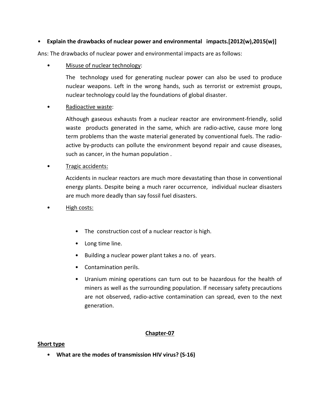# • Explain the drawbacks of nuclear power and environmental impacts.[2012(w),2015(w)]

Ans: The drawbacks of nuclear power and environmental impacts are as follows:

Misuse of nuclear technology:

The technology used for generating nuclear power can also be used to produce nuclear weapons. Left in the wrong hands, such as terrorist or extremist groups, nuclear technology could lay the foundations of global disaster.

• Radioactive waste:

Although gaseous exhausts from a nuclear reactor are environment-friendly, solid waste products generated in the same, which are radio-active, cause more long term problems than the waste material generated by conventional fuels. The radioactive by-products can pollute the environment beyond repair and cause diseases, such as cancer, in the human population .

**Tragic accidents:** 

Accidents in nuclear reactors are much more devastating than those in conventional energy plants. Despite being a much rarer occurrence, individual nuclear disasters are much more deadly than say fossil fuel disasters.

- High costs:
	- The construction cost of a nuclear reactor is high.
	- Long time line.
	- Building a nuclear power plant takes a no. of years.
	- Contamination perils.
	- Uranium mining operations can turn out to be hazardous for the health of miners as well as the surrounding population. If necessary safety precautions are not observed, radio-active contamination can spread, even to the next generation.

# Chapter-07

# Short type

• What are the modes of transmission HIV virus? (S-16)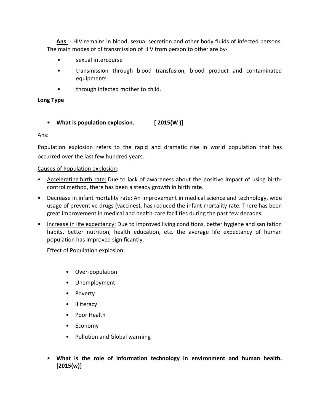Ans :- HIV remains in blood, sexual secretion and other body fluids of infected persons. The main modes of of transmission of HIV from person to other are by-

- sexual intercourse
- transmission through blood transfusion, blood product and contaminated equipments
- through infected mother to child.

# Long Type

# • What is population explosion. [ 2015(W )]

Ans:

Population explosion refers to the rapid and dramatic rise in world population that has occurred over the last few hundred years.

# Causes of Population explosion:

- Accelerating birth rate: Due to lack of awareness about the positive impact of using birthcontrol method, there has been a steady growth in birth rate.
- Decrease in infant mortality rate: An improvement in medical science and technology, wide usage of preventive drugs (vaccines), has reduced the infant mortality rate. There has been great improvement in medical and health-care facilities during the past few decades.
- Increase in life expectancy: Due to improved living conditions, better hygiene and sanitation habits, better nutrition, health education, etc. the average life expectancy of human population has improved significantly.

# Effect of Population explosion:

- Over-population
- Unemployment
- Poverty
- Illiteracy
- Poor Health
- Economy
- Pollution and Global warming
- What is the role of information technology in environment and human health. [2015(w)]